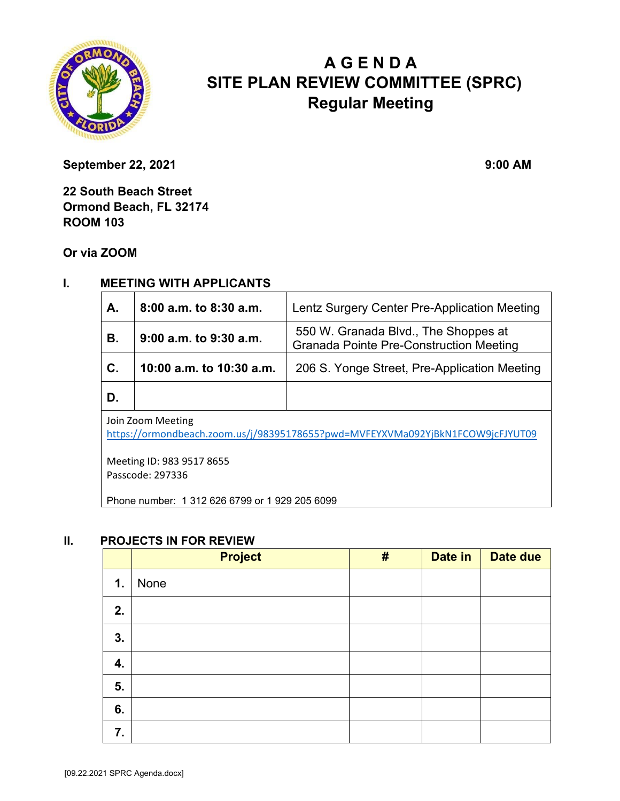

# **A G E N D A SITE PLAN REVIEW COMMITTEE (SPRC) Regular Meeting**

**September 22, 2021** 9:00 AM

**22 South Beach Street Ormond Beach, FL 32174 ROOM 103** 

**Or via ZOOM**

#### **I. MEETING WITH APPLICANTS**

| A.                                                                                                  | 8:00 a.m. to 8:30 a.m.   | Lentz Surgery Center Pre-Application Meeting                                           |  |  |
|-----------------------------------------------------------------------------------------------------|--------------------------|----------------------------------------------------------------------------------------|--|--|
| В.                                                                                                  | 9:00 a.m. to 9:30 a.m.   | 550 W. Granada Blvd., The Shoppes at<br><b>Granada Pointe Pre-Construction Meeting</b> |  |  |
| $\mathbf{C}$ .                                                                                      | 10:00 a.m. to 10:30 a.m. | 206 S. Yonge Street, Pre-Application Meeting                                           |  |  |
| D.                                                                                                  |                          |                                                                                        |  |  |
| Join Zoom Meeting<br>https://ormondheach.zoom.us/i/983951786552pwd-MVEEVYVMa092ViRkN1FCOW9icEIVUT09 |                          |                                                                                        |  |  |

https://ormondbeach.zoom.us/j/98395178655?pwd=MVFEYXVMa092YjBkN1FCOW9jcFJYUT09

Meeting ID: 983 9517 8655 Passcode: 297336

Phone number: 1 312 626 6799 or 1 929 205 6099

#### **II. PROJECTS IN FOR REVIEW**

|               | <b>Project</b> | # | Date in | Date due |
|---------------|----------------|---|---------|----------|
| $\mathbf 1$ . | None           |   |         |          |
| 2.            |                |   |         |          |
| 3.            |                |   |         |          |
| 4.            |                |   |         |          |
| 5.            |                |   |         |          |
| 6.            |                |   |         |          |
| 7.            |                |   |         |          |